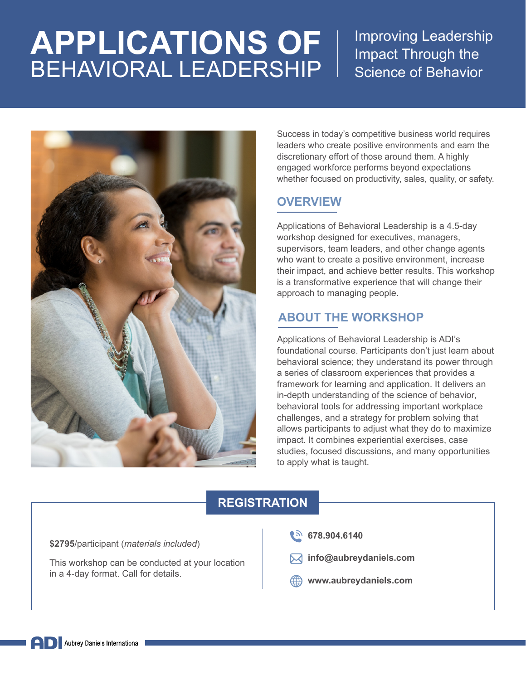# **APPLICATIONS OF** BEHAVIORAL LEADERSHIP

Improving Leadership Impact Through the Science of Behavior



Success in today's competitive business world requires leaders who create positive environments and earn the discretionary effort of those around them. A highly engaged workforce performs beyond expectations whether focused on productivity, sales, quality, or safety.

#### **OVERVIEW**

Applications of Behavioral Leadership is a 4.5-day workshop designed for executives, managers, supervisors, team leaders, and other change agents who want to create a positive environment, increase their impact, and achieve better results. This workshop is a transformative experience that will change their approach to managing people.

### **ABOUT THE WORKSHOP**

Applications of Behavioral Leadership is ADI's foundational course. Participants don't just learn about behavioral science; they understand its power through a series of classroom experiences that provides a framework for learning and application. It delivers an in-depth understanding of the science of behavior, behavioral tools for addressing important workplace challenges, and a strategy for problem solving that allows participants to adjust what they do to maximize impact. It combines experiential exercises, case studies, focused discussions, and many opportunities to apply what is taught.

#### **REGISTRATION**

**\$2795**/participant (*materials included*)

This workshop can be conducted at your location in a 4-day format. Call for details.

- **(b)** 678.904.6140
- **info@aubreydaniels.com**
- **www.aubreydaniels.com**